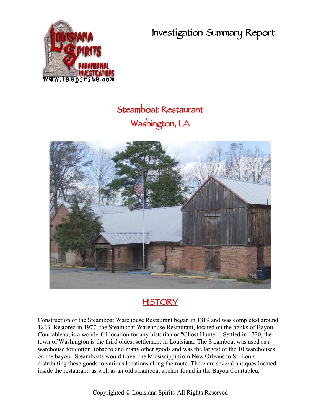**Investigation Summary Report**



# **Steamboat Restaurant Washington, LA**



# **HISTORY**

Construction of the Steamboat Warehouse Restaurant began in 1819 and was completed around 1823. Restored in 1977, the Steamboat Warehouse Restaurant, located on the banks of Bayou Courtableau, is a wonderful location for any historian or "Ghost Hunter". Settled in 1720, the town of Washington is the third oldest settlement in Louisiana. The Steamboat was used as a warehouse for cotton, tobacco and many other goods and was the largest of the 10 warehouses on the bayou. Steamboats would travel the Mississippi from New Orleans to St. Louis distributing these goods to various locations along the route. There are several antiques located inside the restaurant, as well as an old steamboat anchor found in the Bayou Courtableu.

Copyrighted © Louisiana Spirits-All Rights Reserved